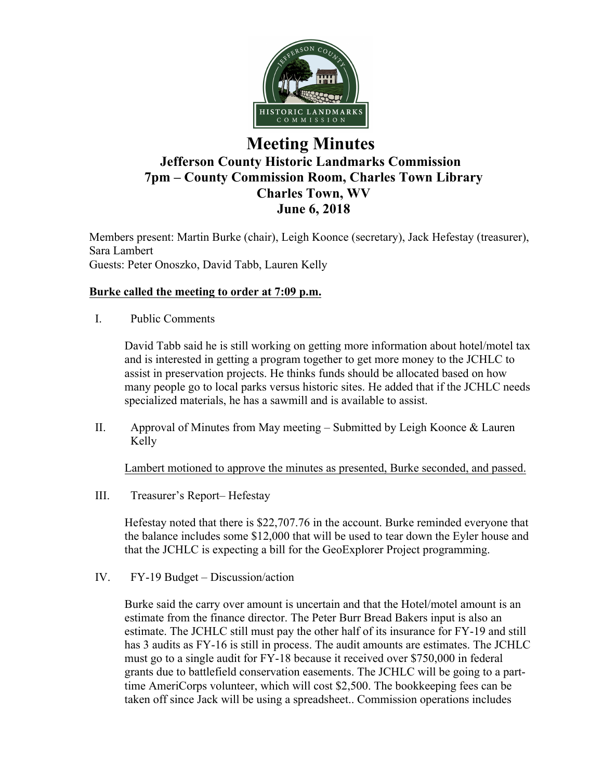

# **Meeting Minutes Jefferson County Historic Landmarks Commission 7pm – County Commission Room, Charles Town Library Charles Town, WV June 6, 2018**

Members present: Martin Burke (chair), Leigh Koonce (secretary), Jack Hefestay (treasurer), Sara Lambert Guests: Peter Onoszko, David Tabb, Lauren Kelly

# **Burke called the meeting to order at 7:09 p.m.**

I. Public Comments

David Tabb said he is still working on getting more information about hotel/motel tax and is interested in getting a program together to get more money to the JCHLC to assist in preservation projects. He thinks funds should be allocated based on how many people go to local parks versus historic sites. He added that if the JCHLC needs specialized materials, he has a sawmill and is available to assist.

II. Approval of Minutes from May meeting – Submitted by Leigh Koonce & Lauren Kelly

Lambert motioned to approve the minutes as presented, Burke seconded, and passed.

III. Treasurer's Report– Hefestay

Hefestay noted that there is \$22,707.76 in the account. Burke reminded everyone that the balance includes some \$12,000 that will be used to tear down the Eyler house and that the JCHLC is expecting a bill for the GeoExplorer Project programming.

IV. FY-19 Budget – Discussion/action

Burke said the carry over amount is uncertain and that the Hotel/motel amount is an estimate from the finance director. The Peter Burr Bread Bakers input is also an estimate. The JCHLC still must pay the other half of its insurance for FY-19 and still has 3 audits as FY-16 is still in process. The audit amounts are estimates. The JCHLC must go to a single audit for FY-18 because it received over \$750,000 in federal grants due to battlefield conservation easements. The JCHLC will be going to a parttime AmeriCorps volunteer, which will cost \$2,500. The bookkeeping fees can be taken off since Jack will be using a spreadsheet.. Commission operations includes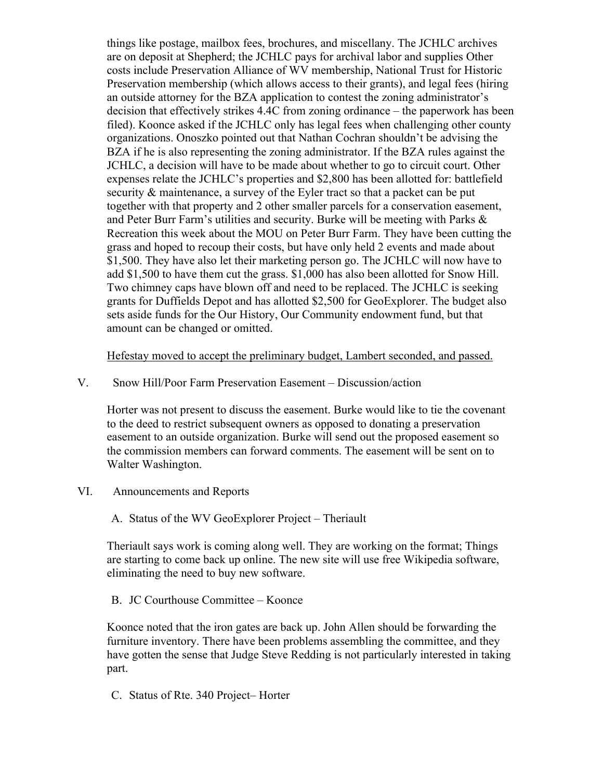things like postage, mailbox fees, brochures, and miscellany. The JCHLC archives are on deposit at Shepherd; the JCHLC pays for archival labor and supplies Other costs include Preservation Alliance of WV membership, National Trust for Historic Preservation membership (which allows access to their grants), and legal fees (hiring an outside attorney for the BZA application to contest the zoning administrator's decision that effectively strikes 4.4C from zoning ordinance – the paperwork has been filed). Koonce asked if the JCHLC only has legal fees when challenging other county organizations. Onoszko pointed out that Nathan Cochran shouldn't be advising the BZA if he is also representing the zoning administrator. If the BZA rules against the JCHLC, a decision will have to be made about whether to go to circuit court. Other expenses relate the JCHLC's properties and \$2,800 has been allotted for: battlefield security & maintenance, a survey of the Eyler tract so that a packet can be put together with that property and 2 other smaller parcels for a conservation easement, and Peter Burr Farm's utilities and security. Burke will be meeting with Parks & Recreation this week about the MOU on Peter Burr Farm. They have been cutting the grass and hoped to recoup their costs, but have only held 2 events and made about \$1,500. They have also let their marketing person go. The JCHLC will now have to add \$1,500 to have them cut the grass. \$1,000 has also been allotted for Snow Hill. Two chimney caps have blown off and need to be replaced. The JCHLC is seeking grants for Duffields Depot and has allotted \$2,500 for GeoExplorer. The budget also sets aside funds for the Our History, Our Community endowment fund, but that amount can be changed or omitted.

Hefestay moved to accept the preliminary budget, Lambert seconded, and passed.

#### V. Snow Hill/Poor Farm Preservation Easement – Discussion/action

Horter was not present to discuss the easement. Burke would like to tie the covenant to the deed to restrict subsequent owners as opposed to donating a preservation easement to an outside organization. Burke will send out the proposed easement so the commission members can forward comments. The easement will be sent on to Walter Washington.

VI. Announcements and Reports

## A. Status of the WV GeoExplorer Project – Theriault

Theriault says work is coming along well. They are working on the format; Things are starting to come back up online. The new site will use free Wikipedia software, eliminating the need to buy new software.

B. JC Courthouse Committee – Koonce

Koonce noted that the iron gates are back up. John Allen should be forwarding the furniture inventory. There have been problems assembling the committee, and they have gotten the sense that Judge Steve Redding is not particularly interested in taking part.

C. Status of Rte. 340 Project– Horter